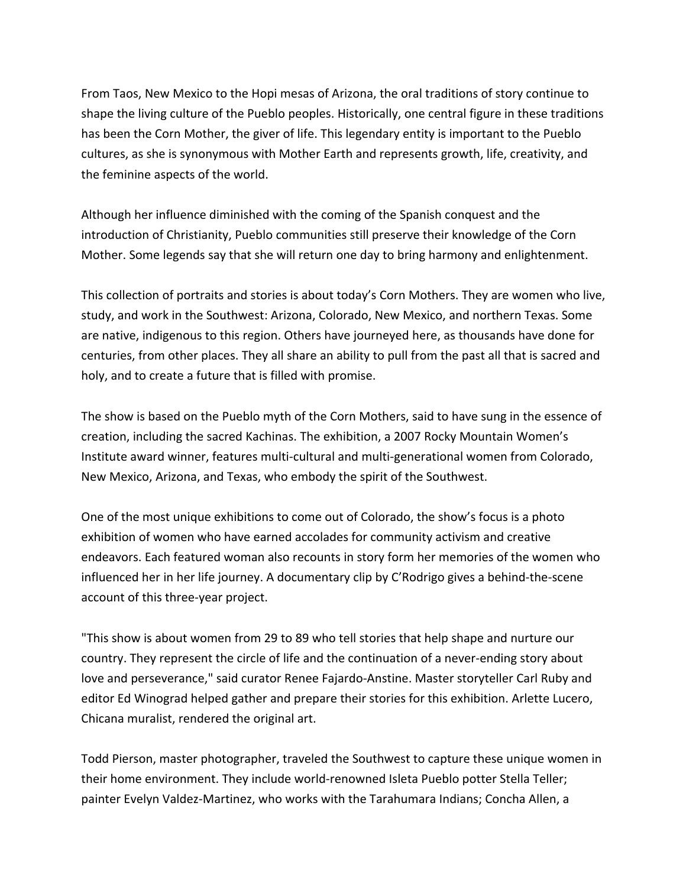From Taos, New Mexico to the Hopi mesas of Arizona, the oral traditions of story continue to shape the living culture of the Pueblo peoples. Historically, one central figure in these traditions has been the Corn Mother, the giver of life. This legendary entity is important to the Pueblo cultures, as she is synonymous with Mother Earth and represents growth, life, creativity, and the feminine aspects of the world.

Although her influence diminished with the coming of the Spanish conquest and the introduction of Christianity, Pueblo communities still preserve their knowledge of the Corn Mother. Some legends say that she will return one day to bring harmony and enlightenment.

This collection of portraits and stories is about today's Corn Mothers. They are women who live, study, and work in the Southwest: Arizona, Colorado, New Mexico, and northern Texas. Some are native, indigenous to this region. Others have journeyed here, as thousands have done for centuries, from other places. They all share an ability to pull from the past all that is sacred and holy, and to create a future that is filled with promise.

The show is based on the Pueblo myth of the Corn Mothers, said to have sung in the essence of creation, including the sacred Kachinas. The exhibition, a 2007 Rocky Mountain Women's Institute award winner, features multi-cultural and multi-generational women from Colorado, New Mexico, Arizona, and Texas, who embody the spirit of the Southwest.

One of the most unique exhibitions to come out of Colorado, the show's focus is a photo exhibition of women who have earned accolades for community activism and creative endeavors. Each featured woman also recounts in story form her memories of the women who influenced her in her life journey. A documentary clip by C'Rodrigo gives a behind-the-scene account of this three-year project.

"This show is about women from 29 to 89 who tell stories that help shape and nurture our country. They represent the circle of life and the continuation of a never-ending story about love and perseverance," said curator Renee Fajardo-Anstine. Master storyteller Carl Ruby and editor Ed Winograd helped gather and prepare their stories for this exhibition. Arlette Lucero, Chicana muralist, rendered the original art.

Todd Pierson, master photographer, traveled the Southwest to capture these unique women in their home environment. They include world-renowned Isleta Pueblo potter Stella Teller; painter Evelyn Valdez-Martinez, who works with the Tarahumara Indians; Concha Allen, a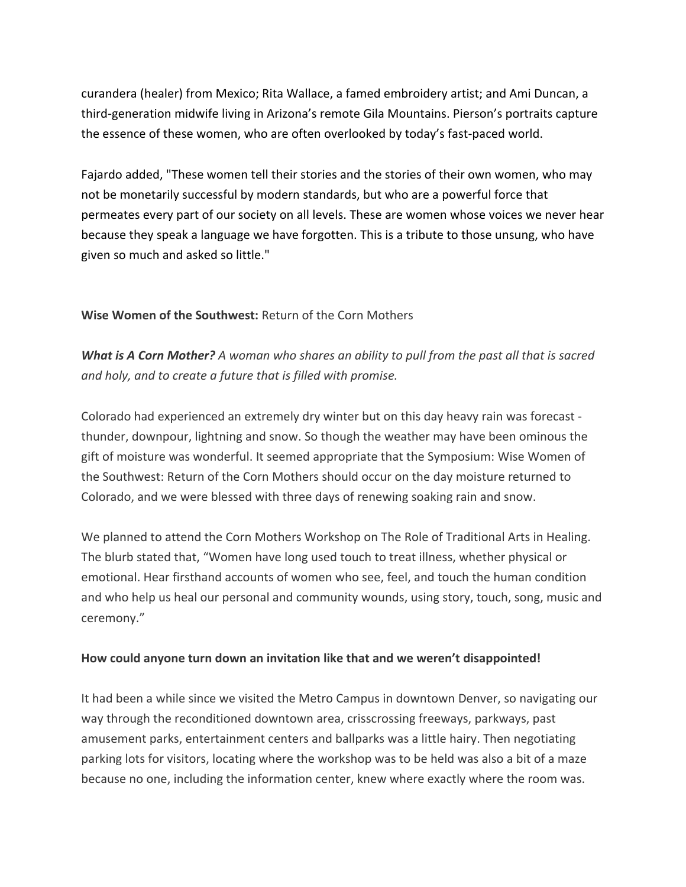curandera (healer) from Mexico; Rita Wallace, a famed embroidery artist; and Ami Duncan, a third-generation midwife living in Arizona's remote Gila Mountains. Pierson's portraits capture the essence of these women, who are often overlooked by today's fast-paced world.

Fajardo added, "These women tell their stories and the stories of their own women, who may not be monetarily successful by modern standards, but who are a powerful force that permeates every part of our society on all levels. These are women whose voices we never hear because they speak a language we have forgotten. This is a tribute to those unsung, who have given so much and asked so little."

## **Wise Women of the Southwest:** Return of the Corn Mothers

*What is A Corn Mother? A woman who shares an ability to pull from the past all that is sacred and holy, and to create a future that is filled with promise.*

Colorado had experienced an extremely dry winter but on this day heavy rain was forecast thunder, downpour, lightning and snow. So though the weather may have been ominous the gift of moisture was wonderful. It seemed appropriate that the Symposium: Wise Women of the Southwest: Return of the Corn Mothers should occur on the day moisture returned to Colorado, and we were blessed with three days of renewing soaking rain and snow.

We planned to attend the Corn Mothers Workshop on The Role of Traditional Arts in Healing. The blurb stated that, "Women have long used touch to treat illness, whether physical or emotional. Hear firsthand accounts of women who see, feel, and touch the human condition and who help us heal our personal and community wounds, using story, touch, song, music and ceremony."

## **How could anyone turn down an invitation like that and we weren't disappointed!**

It had been a while since we visited the Metro Campus in downtown Denver, so navigating our way through the reconditioned downtown area, crisscrossing freeways, parkways, past amusement parks, entertainment centers and ballparks was a little hairy. Then negotiating parking lots for visitors, locating where the workshop was to be held was also a bit of a maze because no one, including the information center, knew where exactly where the room was.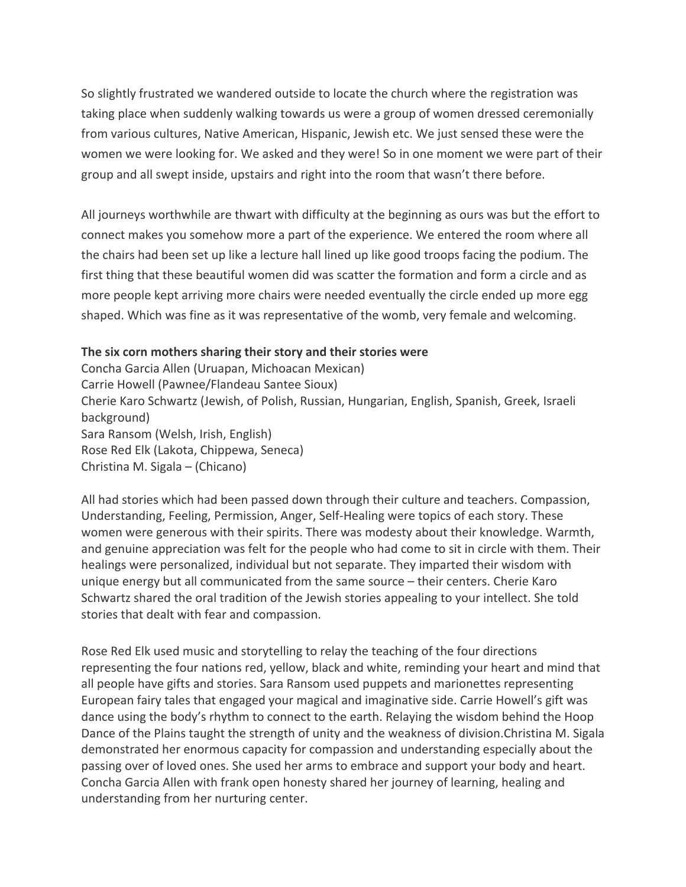So slightly frustrated we wandered outside to locate the church where the registration was taking place when suddenly walking towards us were a group of women dressed ceremonially from various cultures, Native American, Hispanic, Jewish etc. We just sensed these were the women we were looking for. We asked and they were! So in one moment we were part of their group and all swept inside, upstairs and right into the room that wasn't there before.

All journeys worthwhile are thwart with difficulty at the beginning as ours was but the effort to connect makes you somehow more a part of the experience. We entered the room where all the chairs had been set up like a lecture hall lined up like good troops facing the podium. The first thing that these beautiful women did was scatter the formation and form a circle and as more people kept arriving more chairs were needed eventually the circle ended up more egg shaped. Which was fine as it was representative of the womb, very female and welcoming.

## **The six corn mothers sharing their story and their stories were**

Concha Garcia Allen (Uruapan, Michoacan Mexican) Carrie Howell (Pawnee/Flandeau Santee Sioux) Cherie Karo Schwartz (Jewish, of Polish, Russian, Hungarian, English, Spanish, Greek, Israeli background) Sara Ransom (Welsh, Irish, English) Rose Red Elk (Lakota, Chippewa, Seneca) Christina M. Sigala – (Chicano)

All had stories which had been passed down through their culture and teachers. Compassion, Understanding, Feeling, Permission, Anger, Self-Healing were topics of each story. These women were generous with their spirits. There was modesty about their knowledge. Warmth, and genuine appreciation was felt for the people who had come to sit in circle with them. Their healings were personalized, individual but not separate. They imparted their wisdom with unique energy but all communicated from the same source – their centers. Cherie Karo Schwartz shared the oral tradition of the Jewish stories appealing to your intellect. She told stories that dealt with fear and compassion.

Rose Red Elk used music and storytelling to relay the teaching of the four directions representing the four nations red, yellow, black and white, reminding your heart and mind that all people have gifts and stories. Sara Ransom used puppets and marionettes representing European fairy tales that engaged your magical and imaginative side. Carrie Howell's gift was dance using the body's rhythm to connect to the earth. Relaying the wisdom behind the Hoop Dance of the Plains taught the strength of unity and the weakness of division.Christina M. Sigala demonstrated her enormous capacity for compassion and understanding especially about the passing over of loved ones. She used her arms to embrace and support your body and heart. Concha Garcia Allen with frank open honesty shared her journey of learning, healing and understanding from her nurturing center.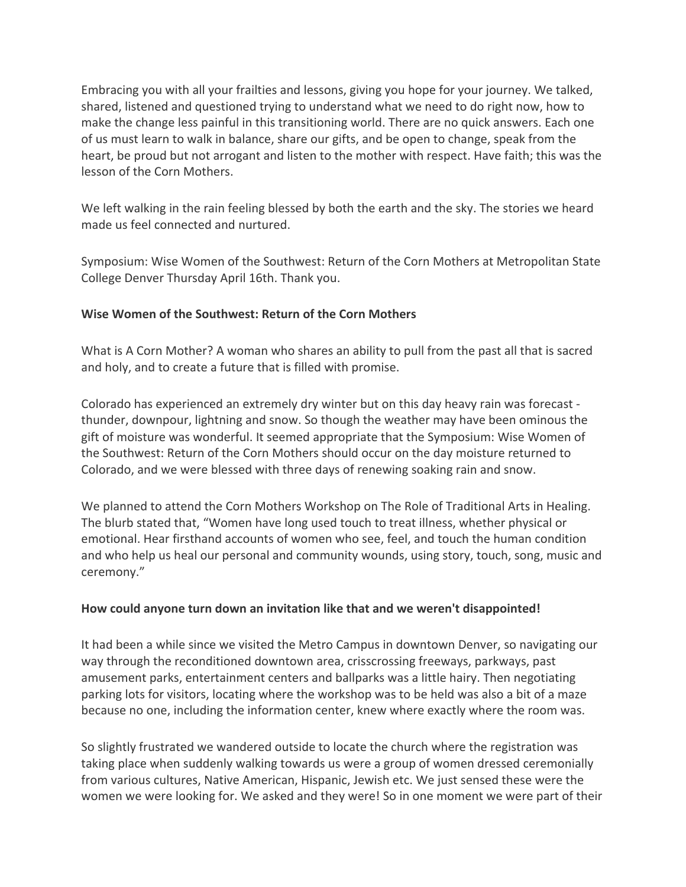Embracing you with all your frailties and lessons, giving you hope for your journey. We talked, shared, listened and questioned trying to understand what we need to do right now, how to make the change less painful in this transitioning world. There are no quick answers. Each one of us must learn to walk in balance, share our gifts, and be open to change, speak from the heart, be proud but not arrogant and listen to the mother with respect. Have faith; this was the lesson of the Corn Mothers.

We left walking in the rain feeling blessed by both the earth and the sky. The stories we heard made us feel connected and nurtured.

Symposium: Wise Women of the Southwest: Return of the Corn Mothers at Metropolitan State College Denver Thursday April 16th. Thank you.

# **Wise Women of the Southwest: Return of the Corn Mothers**

What is A Corn Mother? A woman who shares an ability to pull from the past all that is sacred and holy, and to create a future that is filled with promise.

Colorado has experienced an extremely dry winter but on this day heavy rain was forecast thunder, downpour, lightning and snow. So though the weather may have been ominous the gift of moisture was wonderful. It seemed appropriate that the Symposium: Wise Women of the Southwest: Return of the Corn Mothers should occur on the day moisture returned to Colorado, and we were blessed with three days of renewing soaking rain and snow.

We planned to attend the Corn Mothers Workshop on The Role of Traditional Arts in Healing. The blurb stated that, "Women have long used touch to treat illness, whether physical or emotional. Hear firsthand accounts of women who see, feel, and touch the human condition and who help us heal our personal and community wounds, using story, touch, song, music and ceremony."

## **How could anyone turn down an invitation like that and we weren't disappointed!**

It had been a while since we visited the Metro Campus in downtown Denver, so navigating our way through the reconditioned downtown area, crisscrossing freeways, parkways, past amusement parks, entertainment centers and ballparks was a little hairy. Then negotiating parking lots for visitors, locating where the workshop was to be held was also a bit of a maze because no one, including the information center, knew where exactly where the room was.

So slightly frustrated we wandered outside to locate the church where the registration was taking place when suddenly walking towards us were a group of women dressed ceremonially from various cultures, Native American, Hispanic, Jewish etc. We just sensed these were the women we were looking for. We asked and they were! So in one moment we were part of their